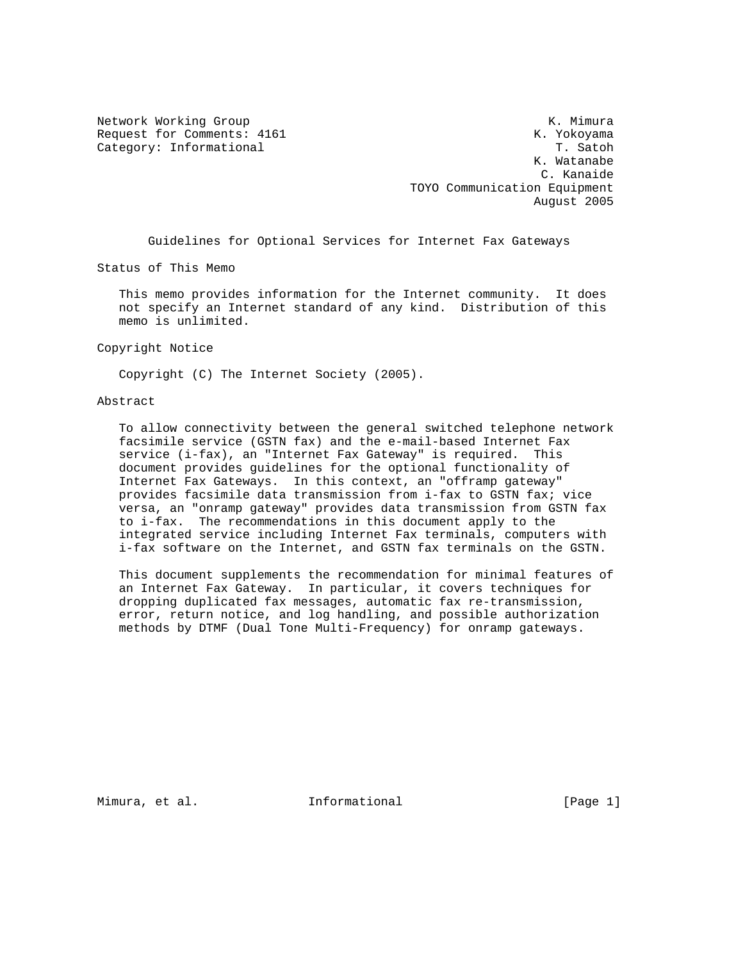Category: Informational

Network Working Group and the set of the set of the Media Section 2012 and the Media Section 2013 Request for Comments: 4161 K. Yokoyama<br>Category: Informational Category: The Satoh K. Watanabe C. Kanaide TOYO Communication Equipment August 2005

Guidelines for Optional Services for Internet Fax Gateways

Status of This Memo

 This memo provides information for the Internet community. It does not specify an Internet standard of any kind. Distribution of this memo is unlimited.

Copyright Notice

Copyright (C) The Internet Society (2005).

## Abstract

 To allow connectivity between the general switched telephone network facsimile service (GSTN fax) and the e-mail-based Internet Fax service (i-fax), an "Internet Fax Gateway" is required. This document provides guidelines for the optional functionality of Internet Fax Gateways. In this context, an "offramp gateway" provides facsimile data transmission from i-fax to GSTN fax; vice versa, an "onramp gateway" provides data transmission from GSTN fax to i-fax. The recommendations in this document apply to the integrated service including Internet Fax terminals, computers with i-fax software on the Internet, and GSTN fax terminals on the GSTN.

 This document supplements the recommendation for minimal features of an Internet Fax Gateway. In particular, it covers techniques for dropping duplicated fax messages, automatic fax re-transmission, error, return notice, and log handling, and possible authorization methods by DTMF (Dual Tone Multi-Frequency) for onramp gateways.

Mimura, et al. **Informational** [Page 1]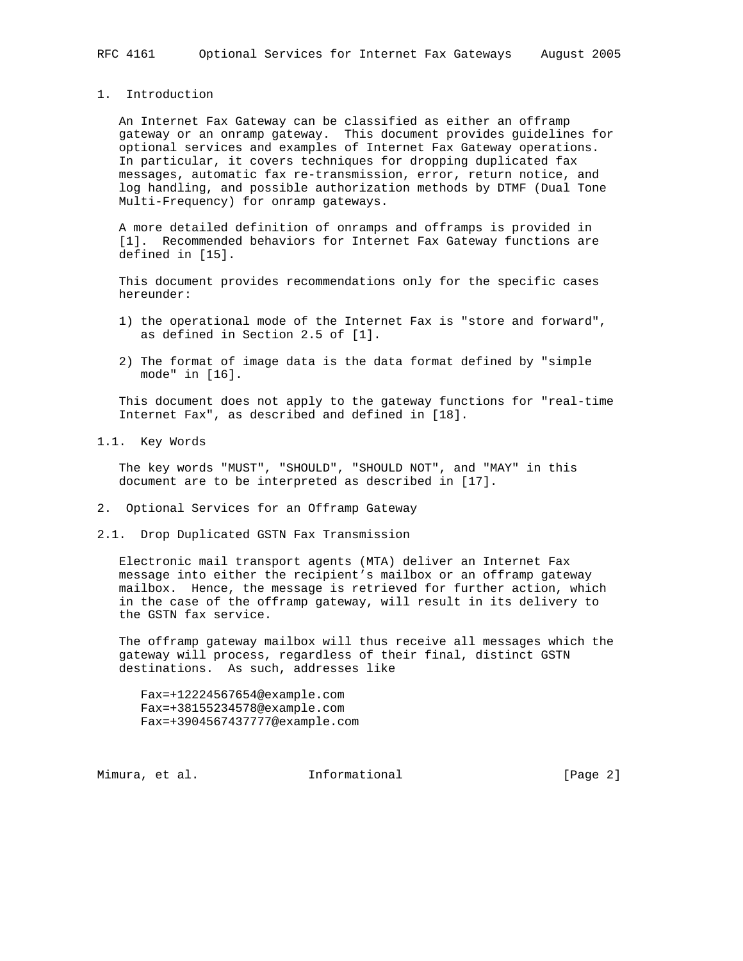1. Introduction

 An Internet Fax Gateway can be classified as either an offramp gateway or an onramp gateway. This document provides guidelines for optional services and examples of Internet Fax Gateway operations. In particular, it covers techniques for dropping duplicated fax messages, automatic fax re-transmission, error, return notice, and log handling, and possible authorization methods by DTMF (Dual Tone Multi-Frequency) for onramp gateways.

 A more detailed definition of onramps and offramps is provided in [1]. Recommended behaviors for Internet Fax Gateway functions are defined in [15].

 This document provides recommendations only for the specific cases hereunder:

- 1) the operational mode of the Internet Fax is "store and forward", as defined in Section 2.5 of [1].
- 2) The format of image data is the data format defined by "simple mode" in [16].

 This document does not apply to the gateway functions for "real-time Internet Fax", as described and defined in [18].

1.1. Key Words

 The key words "MUST", "SHOULD", "SHOULD NOT", and "MAY" in this document are to be interpreted as described in [17].

- 2. Optional Services for an Offramp Gateway
- 2.1. Drop Duplicated GSTN Fax Transmission

 Electronic mail transport agents (MTA) deliver an Internet Fax message into either the recipient's mailbox or an offramp gateway mailbox. Hence, the message is retrieved for further action, which in the case of the offramp gateway, will result in its delivery to the GSTN fax service.

 The offramp gateway mailbox will thus receive all messages which the gateway will process, regardless of their final, distinct GSTN destinations. As such, addresses like

 Fax=+12224567654@example.com Fax=+38155234578@example.com Fax=+3904567437777@example.com

Mimura, et al. **Informational** [Page 2]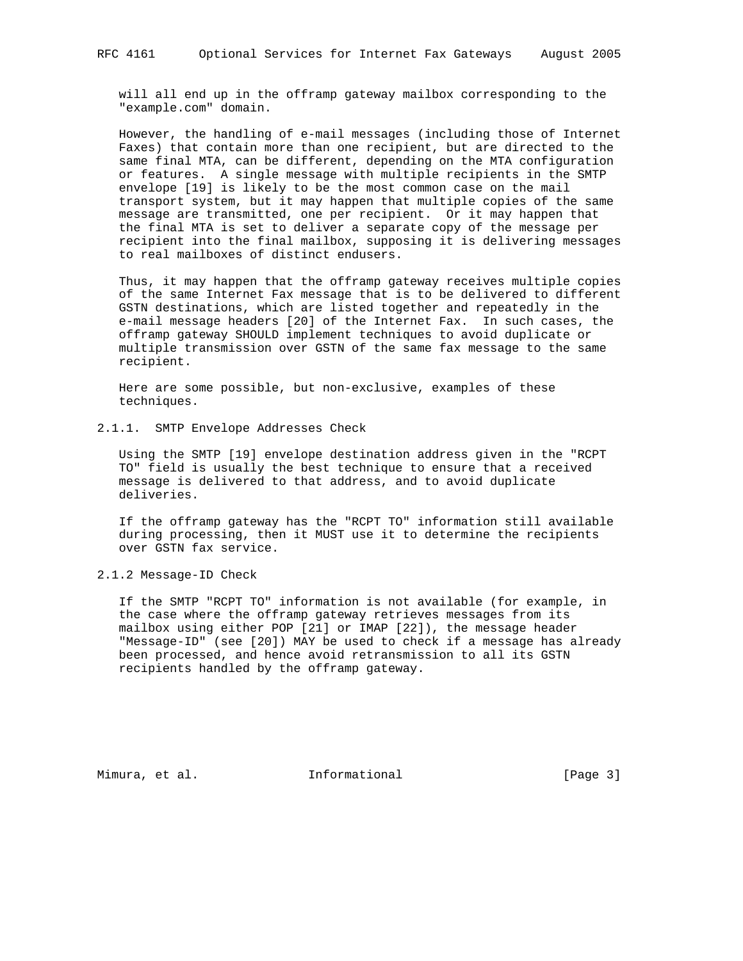will all end up in the offramp gateway mailbox corresponding to the "example.com" domain.

 However, the handling of e-mail messages (including those of Internet Faxes) that contain more than one recipient, but are directed to the same final MTA, can be different, depending on the MTA configuration or features. A single message with multiple recipients in the SMTP envelope [19] is likely to be the most common case on the mail transport system, but it may happen that multiple copies of the same message are transmitted, one per recipient. Or it may happen that the final MTA is set to deliver a separate copy of the message per recipient into the final mailbox, supposing it is delivering messages to real mailboxes of distinct endusers.

 Thus, it may happen that the offramp gateway receives multiple copies of the same Internet Fax message that is to be delivered to different GSTN destinations, which are listed together and repeatedly in the e-mail message headers [20] of the Internet Fax. In such cases, the offramp gateway SHOULD implement techniques to avoid duplicate or multiple transmission over GSTN of the same fax message to the same recipient.

 Here are some possible, but non-exclusive, examples of these techniques.

2.1.1. SMTP Envelope Addresses Check

 Using the SMTP [19] envelope destination address given in the "RCPT TO" field is usually the best technique to ensure that a received message is delivered to that address, and to avoid duplicate deliveries.

 If the offramp gateway has the "RCPT TO" information still available during processing, then it MUST use it to determine the recipients over GSTN fax service.

2.1.2 Message-ID Check

 If the SMTP "RCPT TO" information is not available (for example, in the case where the offramp gateway retrieves messages from its mailbox using either POP [21] or IMAP [22]), the message header "Message-ID" (see [20]) MAY be used to check if a message has already been processed, and hence avoid retransmission to all its GSTN recipients handled by the offramp gateway.

Mimura, et al. **Informational** [Page 3]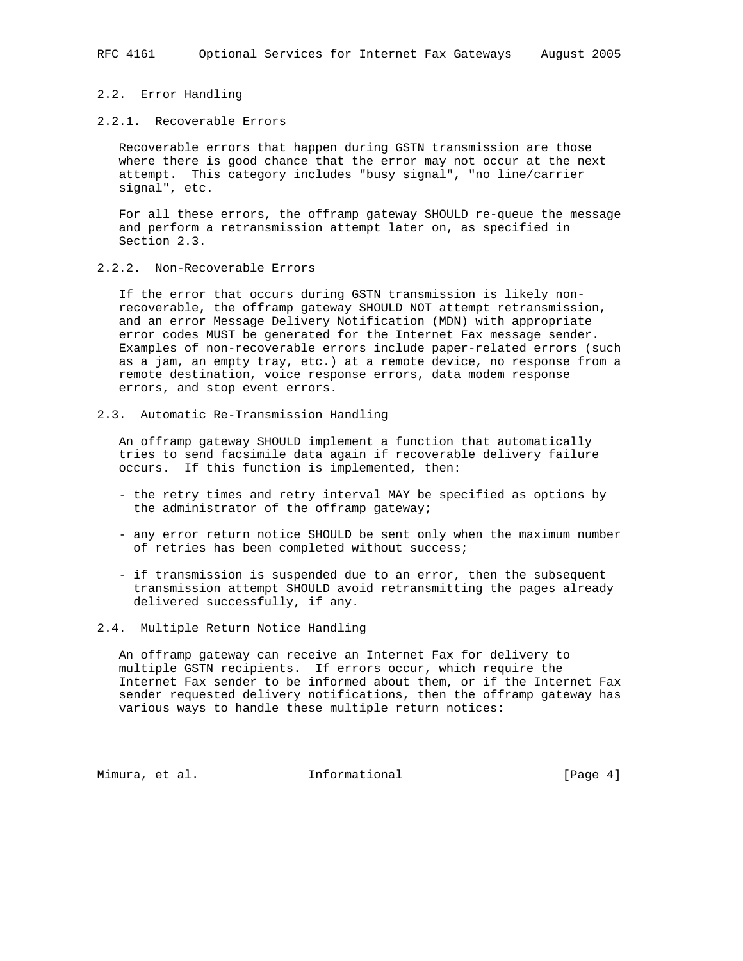### 2.2. Error Handling

## 2.2.1. Recoverable Errors

 Recoverable errors that happen during GSTN transmission are those where there is good chance that the error may not occur at the next attempt. This category includes "busy signal", "no line/carrier signal", etc.

 For all these errors, the offramp gateway SHOULD re-queue the message and perform a retransmission attempt later on, as specified in Section 2.3.

2.2.2. Non-Recoverable Errors

 If the error that occurs during GSTN transmission is likely non recoverable, the offramp gateway SHOULD NOT attempt retransmission, and an error Message Delivery Notification (MDN) with appropriate error codes MUST be generated for the Internet Fax message sender. Examples of non-recoverable errors include paper-related errors (such as a jam, an empty tray, etc.) at a remote device, no response from a remote destination, voice response errors, data modem response errors, and stop event errors.

2.3. Automatic Re-Transmission Handling

 An offramp gateway SHOULD implement a function that automatically tries to send facsimile data again if recoverable delivery failure occurs. If this function is implemented, then:

- the retry times and retry interval MAY be specified as options by the administrator of the offramp gateway;
- any error return notice SHOULD be sent only when the maximum number of retries has been completed without success;
- if transmission is suspended due to an error, then the subsequent transmission attempt SHOULD avoid retransmitting the pages already delivered successfully, if any.
- 2.4. Multiple Return Notice Handling

 An offramp gateway can receive an Internet Fax for delivery to multiple GSTN recipients. If errors occur, which require the Internet Fax sender to be informed about them, or if the Internet Fax sender requested delivery notifications, then the offramp gateway has various ways to handle these multiple return notices:

Mimura, et al. **Informational** [Page 4]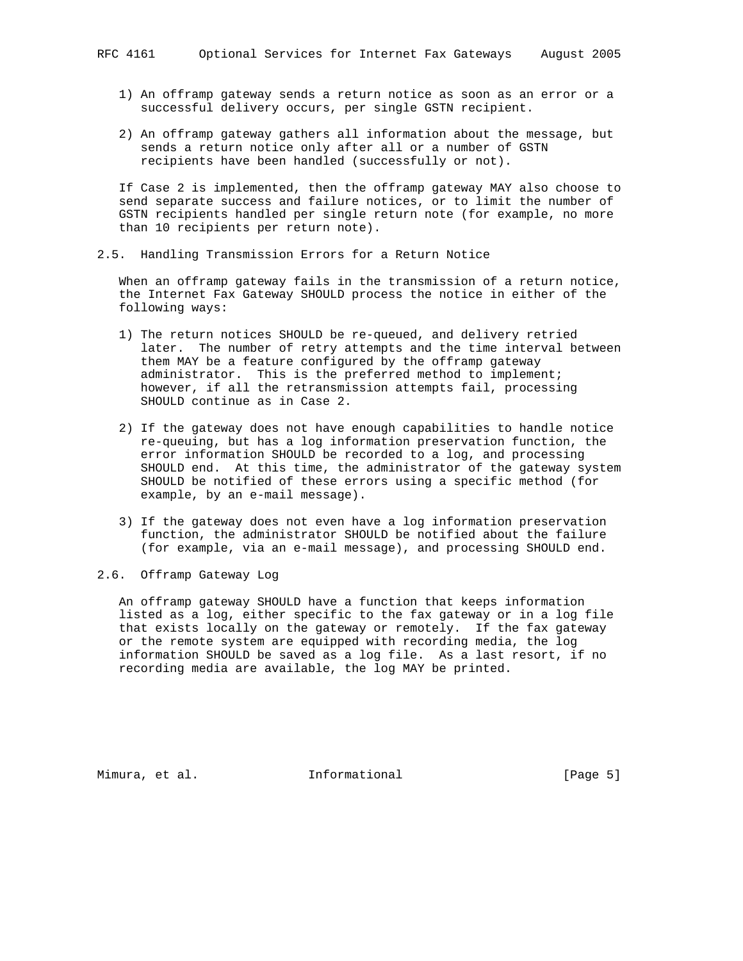- 1) An offramp gateway sends a return notice as soon as an error or a successful delivery occurs, per single GSTN recipient.
- 2) An offramp gateway gathers all information about the message, but sends a return notice only after all or a number of GSTN recipients have been handled (successfully or not).

 If Case 2 is implemented, then the offramp gateway MAY also choose to send separate success and failure notices, or to limit the number of GSTN recipients handled per single return note (for example, no more than 10 recipients per return note).

2.5. Handling Transmission Errors for a Return Notice

 When an offramp gateway fails in the transmission of a return notice, the Internet Fax Gateway SHOULD process the notice in either of the following ways:

- 1) The return notices SHOULD be re-queued, and delivery retried later. The number of retry attempts and the time interval between them MAY be a feature configured by the offramp gateway administrator. This is the preferred method to implement; however, if all the retransmission attempts fail, processing SHOULD continue as in Case 2.
- 2) If the gateway does not have enough capabilities to handle notice re-queuing, but has a log information preservation function, the error information SHOULD be recorded to a log, and processing SHOULD end. At this time, the administrator of the gateway system SHOULD be notified of these errors using a specific method (for example, by an e-mail message).
- 3) If the gateway does not even have a log information preservation function, the administrator SHOULD be notified about the failure (for example, via an e-mail message), and processing SHOULD end.
- 2.6. Offramp Gateway Log

 An offramp gateway SHOULD have a function that keeps information listed as a log, either specific to the fax gateway or in a log file that exists locally on the gateway or remotely. If the fax gateway or the remote system are equipped with recording media, the log information SHOULD be saved as a log file. As a last resort, if no recording media are available, the log MAY be printed.

Mimura, et al. **Informational** [Page 5]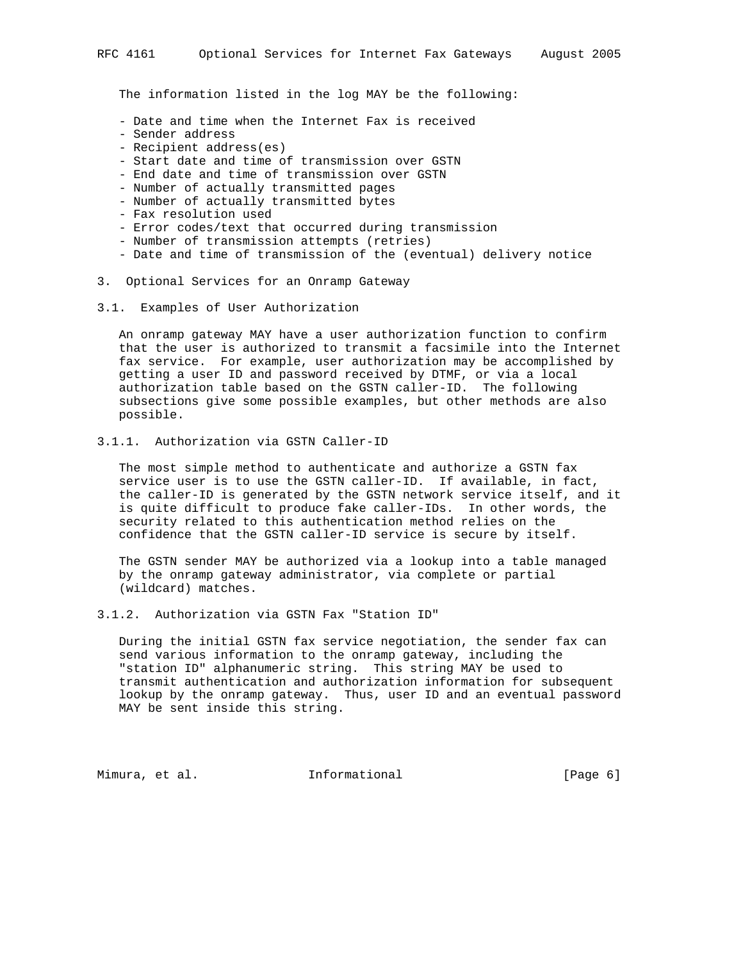The information listed in the log MAY be the following:

- Date and time when the Internet Fax is received
- Sender address
- Recipient address(es)
- Start date and time of transmission over GSTN
- End date and time of transmission over GSTN
- Number of actually transmitted pages
- Number of actually transmitted bytes
- Fax resolution used
- Error codes/text that occurred during transmission
- Number of transmission attempts (retries)
- Date and time of transmission of the (eventual) delivery notice
- 3. Optional Services for an Onramp Gateway
- 3.1. Examples of User Authorization

 An onramp gateway MAY have a user authorization function to confirm that the user is authorized to transmit a facsimile into the Internet fax service. For example, user authorization may be accomplished by getting a user ID and password received by DTMF, or via a local authorization table based on the GSTN caller-ID. The following subsections give some possible examples, but other methods are also possible.

3.1.1. Authorization via GSTN Caller-ID

 The most simple method to authenticate and authorize a GSTN fax service user is to use the GSTN caller-ID. If available, in fact, the caller-ID is generated by the GSTN network service itself, and it is quite difficult to produce fake caller-IDs. In other words, the security related to this authentication method relies on the confidence that the GSTN caller-ID service is secure by itself.

 The GSTN sender MAY be authorized via a lookup into a table managed by the onramp gateway administrator, via complete or partial (wildcard) matches.

3.1.2. Authorization via GSTN Fax "Station ID"

 During the initial GSTN fax service negotiation, the sender fax can send various information to the onramp gateway, including the "station ID" alphanumeric string. This string MAY be used to transmit authentication and authorization information for subsequent lookup by the onramp gateway. Thus, user ID and an eventual password MAY be sent inside this string.

Mimura, et al. **Informational** [Page 6]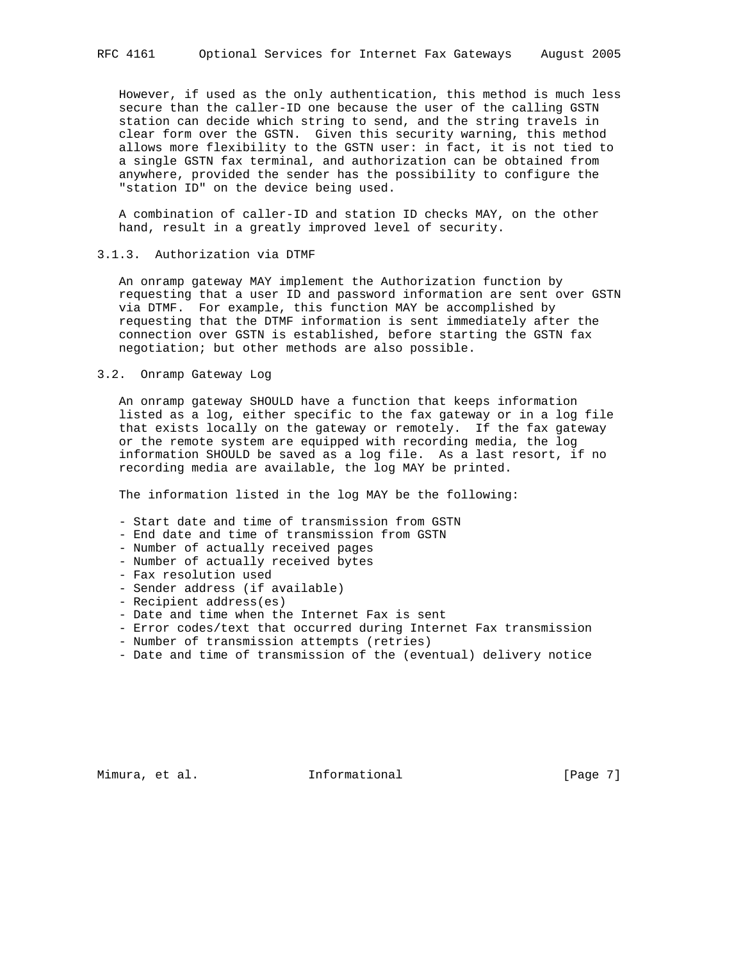However, if used as the only authentication, this method is much less secure than the caller-ID one because the user of the calling GSTN station can decide which string to send, and the string travels in clear form over the GSTN. Given this security warning, this method allows more flexibility to the GSTN user: in fact, it is not tied to a single GSTN fax terminal, and authorization can be obtained from anywhere, provided the sender has the possibility to configure the "station ID" on the device being used.

 A combination of caller-ID and station ID checks MAY, on the other hand, result in a greatly improved level of security.

## 3.1.3. Authorization via DTMF

 An onramp gateway MAY implement the Authorization function by requesting that a user ID and password information are sent over GSTN via DTMF. For example, this function MAY be accomplished by requesting that the DTMF information is sent immediately after the connection over GSTN is established, before starting the GSTN fax negotiation; but other methods are also possible.

3.2. Onramp Gateway Log

 An onramp gateway SHOULD have a function that keeps information listed as a log, either specific to the fax gateway or in a log file that exists locally on the gateway or remotely. If the fax gateway or the remote system are equipped with recording media, the log information SHOULD be saved as a log file. As a last resort, if no recording media are available, the log MAY be printed.

The information listed in the log MAY be the following:

- Start date and time of transmission from GSTN
- End date and time of transmission from GSTN
- Number of actually received pages
- Number of actually received bytes
- Fax resolution used
- Sender address (if available)
- Recipient address(es)
- Date and time when the Internet Fax is sent
- Error codes/text that occurred during Internet Fax transmission
- Number of transmission attempts (retries)
- Date and time of transmission of the (eventual) delivery notice

Mimura, et al. **Informational** [Page 7]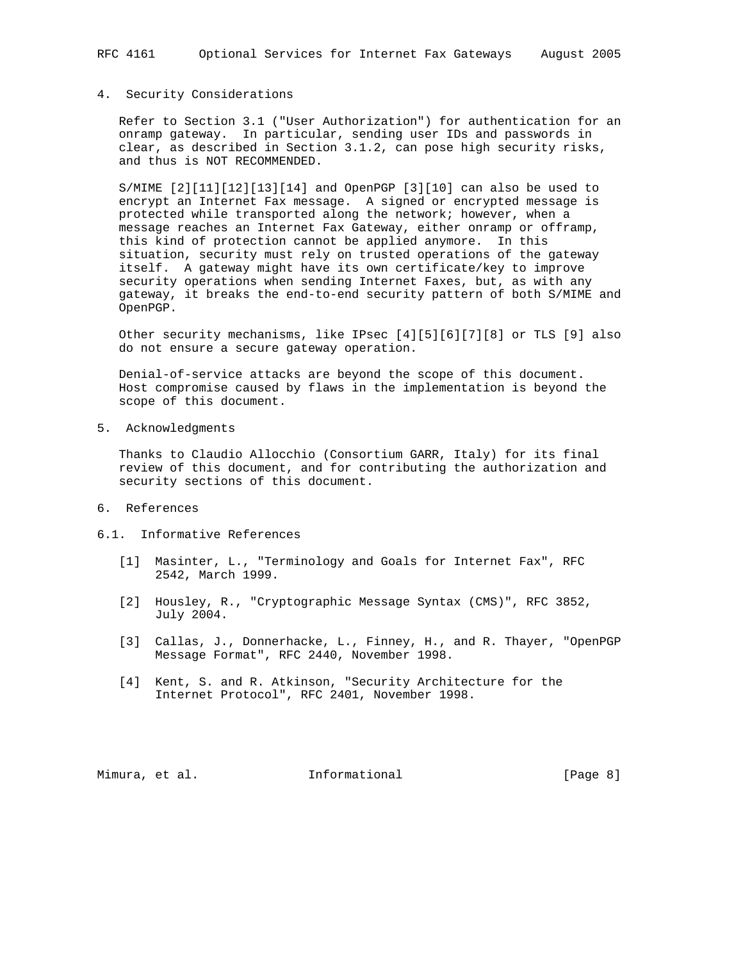# 4. Security Considerations

 Refer to Section 3.1 ("User Authorization") for authentication for an onramp gateway. In particular, sending user IDs and passwords in clear, as described in Section 3.1.2, can pose high security risks, and thus is NOT RECOMMENDED.

 S/MIME [2][11][12][13][14] and OpenPGP [3][10] can also be used to encrypt an Internet Fax message. A signed or encrypted message is protected while transported along the network; however, when a message reaches an Internet Fax Gateway, either onramp or offramp, this kind of protection cannot be applied anymore. In this situation, security must rely on trusted operations of the gateway itself. A gateway might have its own certificate/key to improve security operations when sending Internet Faxes, but, as with any gateway, it breaks the end-to-end security pattern of both S/MIME and OpenPGP.

 Other security mechanisms, like IPsec [4][5][6][7][8] or TLS [9] also do not ensure a secure gateway operation.

 Denial-of-service attacks are beyond the scope of this document. Host compromise caused by flaws in the implementation is beyond the scope of this document.

5. Acknowledgments

 Thanks to Claudio Allocchio (Consortium GARR, Italy) for its final review of this document, and for contributing the authorization and security sections of this document.

- 6. References
- 6.1. Informative References
	- [1] Masinter, L., "Terminology and Goals for Internet Fax", RFC 2542, March 1999.
	- [2] Housley, R., "Cryptographic Message Syntax (CMS)", RFC 3852, July 2004.
	- [3] Callas, J., Donnerhacke, L., Finney, H., and R. Thayer, "OpenPGP Message Format", RFC 2440, November 1998.
	- [4] Kent, S. and R. Atkinson, "Security Architecture for the Internet Protocol", RFC 2401, November 1998.

Mimura, et al. **Informational** [Page 8]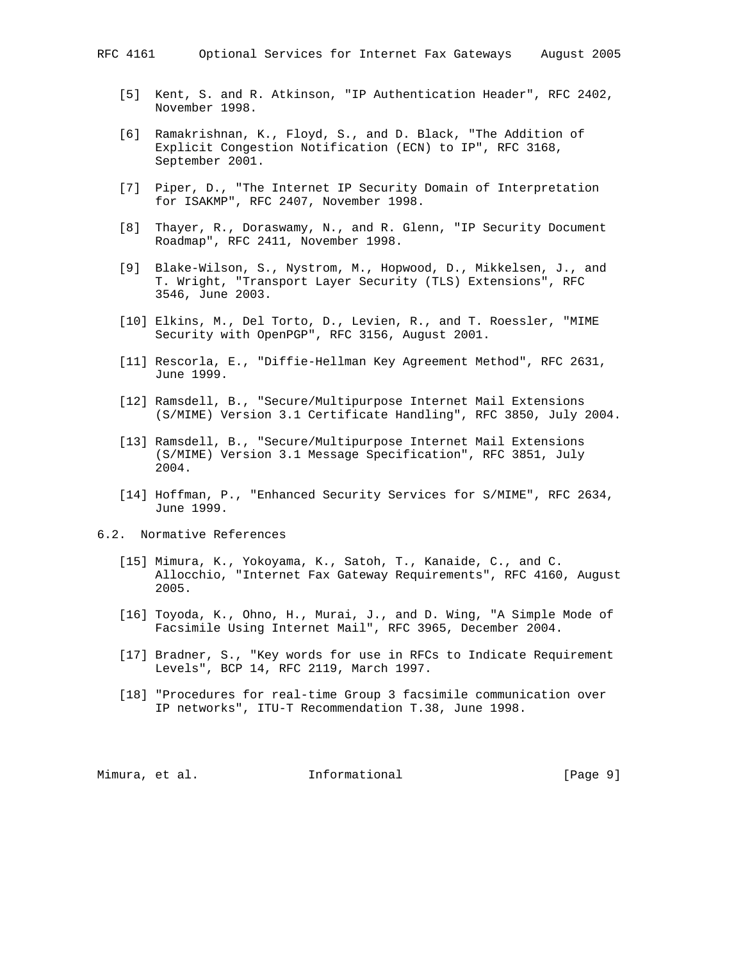- [5] Kent, S. and R. Atkinson, "IP Authentication Header", RFC 2402, November 1998.
- [6] Ramakrishnan, K., Floyd, S., and D. Black, "The Addition of Explicit Congestion Notification (ECN) to IP", RFC 3168, September 2001.
- [7] Piper, D., "The Internet IP Security Domain of Interpretation for ISAKMP", RFC 2407, November 1998.
- [8] Thayer, R., Doraswamy, N., and R. Glenn, "IP Security Document Roadmap", RFC 2411, November 1998.
- [9] Blake-Wilson, S., Nystrom, M., Hopwood, D., Mikkelsen, J., and T. Wright, "Transport Layer Security (TLS) Extensions", RFC 3546, June 2003.
- [10] Elkins, M., Del Torto, D., Levien, R., and T. Roessler, "MIME Security with OpenPGP", RFC 3156, August 2001.
- [11] Rescorla, E., "Diffie-Hellman Key Agreement Method", RFC 2631, June 1999.
- [12] Ramsdell, B., "Secure/Multipurpose Internet Mail Extensions (S/MIME) Version 3.1 Certificate Handling", RFC 3850, July 2004.
- [13] Ramsdell, B., "Secure/Multipurpose Internet Mail Extensions (S/MIME) Version 3.1 Message Specification", RFC 3851, July 2004.
- [14] Hoffman, P., "Enhanced Security Services for S/MIME", RFC 2634, June 1999.

## 6.2. Normative References

- [15] Mimura, K., Yokoyama, K., Satoh, T., Kanaide, C., and C. Allocchio, "Internet Fax Gateway Requirements", RFC 4160, August 2005.
- [16] Toyoda, K., Ohno, H., Murai, J., and D. Wing, "A Simple Mode of Facsimile Using Internet Mail", RFC 3965, December 2004.
- [17] Bradner, S., "Key words for use in RFCs to Indicate Requirement Levels", BCP 14, RFC 2119, March 1997.
- [18] "Procedures for real-time Group 3 facsimile communication over IP networks", ITU-T Recommendation T.38, June 1998.

Mimura, et al. Informational [Page 9]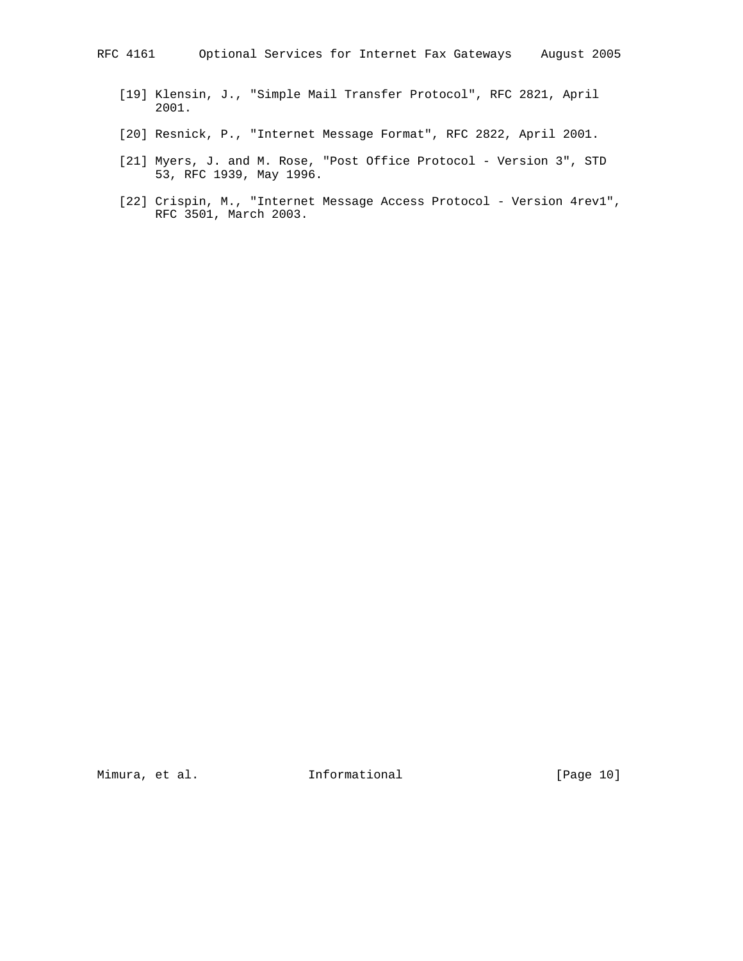- [19] Klensin, J., "Simple Mail Transfer Protocol", RFC 2821, April 2001.
- [20] Resnick, P., "Internet Message Format", RFC 2822, April 2001.
- [21] Myers, J. and M. Rose, "Post Office Protocol Version 3", STD 53, RFC 1939, May 1996.
- [22] Crispin, M., "Internet Message Access Protocol Version 4rev1", RFC 3501, March 2003.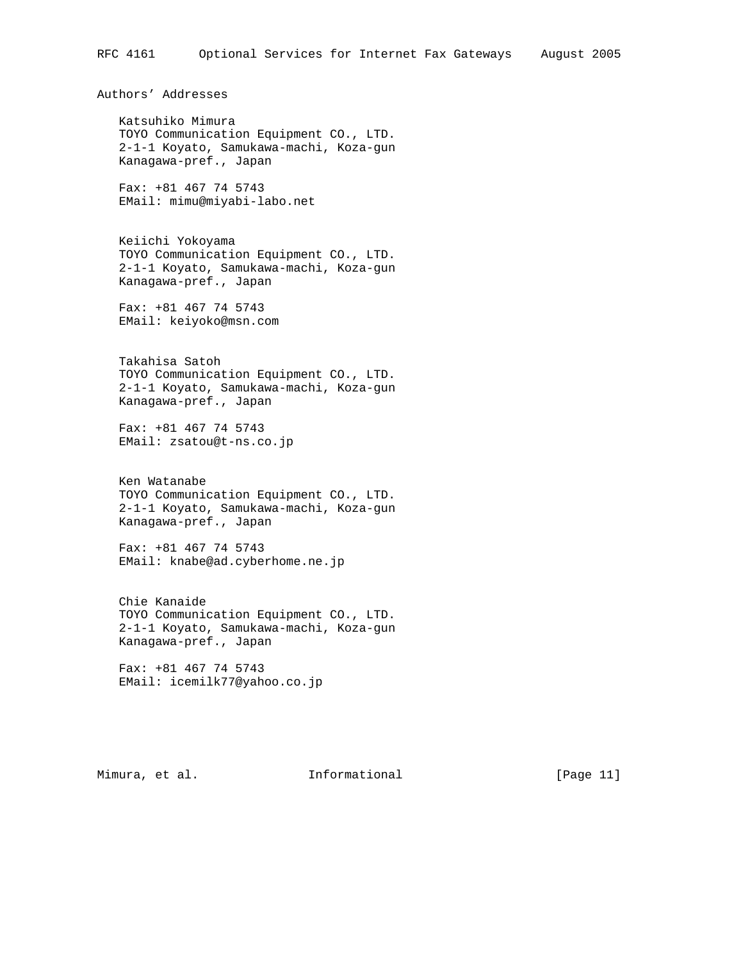Authors' Addresses

 Katsuhiko Mimura TOYO Communication Equipment CO., LTD. 2-1-1 Koyato, Samukawa-machi, Koza-gun Kanagawa-pref., Japan

 Fax: +81 467 74 5743 EMail: mimu@miyabi-labo.net

 Keiichi Yokoyama TOYO Communication Equipment CO., LTD. 2-1-1 Koyato, Samukawa-machi, Koza-gun Kanagawa-pref., Japan

 Fax: +81 467 74 5743 EMail: keiyoko@msn.com

 Takahisa Satoh TOYO Communication Equipment CO., LTD. 2-1-1 Koyato, Samukawa-machi, Koza-gun Kanagawa-pref., Japan

 Fax: +81 467 74 5743 EMail: zsatou@t-ns.co.jp

 Ken Watanabe TOYO Communication Equipment CO., LTD. 2-1-1 Koyato, Samukawa-machi, Koza-gun Kanagawa-pref., Japan

 Fax: +81 467 74 5743 EMail: knabe@ad.cyberhome.ne.jp

 Chie Kanaide TOYO Communication Equipment CO., LTD. 2-1-1 Koyato, Samukawa-machi, Koza-gun Kanagawa-pref., Japan

 Fax: +81 467 74 5743 EMail: icemilk77@yahoo.co.jp

Mimura, et al. Informational [Page 11]